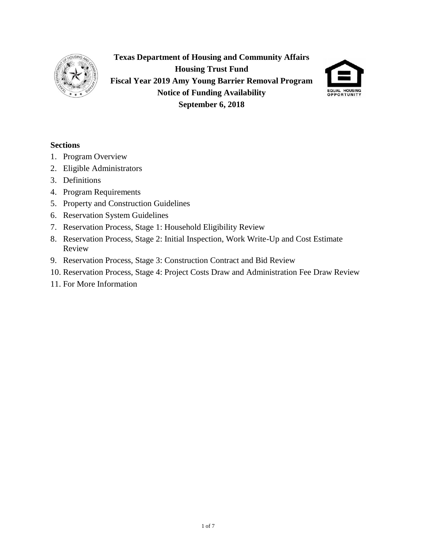

**Texas Department of Housing and Community Affairs Housing Trust Fund Fiscal Year 2019 Amy Young Barrier Removal Program Notice of Funding Availability September 6, 2018**



### **Sections**

- 1. Program Overview
- 2. Eligible Administrators
- 3. Definitions
- 4. Program Requirements
- 5. Property and Construction Guidelines
- 6. Reservation System Guidelines
- 7. Reservation Process, Stage 1: Household Eligibility Review
- 8. Reservation Process, Stage 2: Initial Inspection, Work Write-Up and Cost Estimate Review
- 9. Reservation Process, Stage 3: Construction Contract and Bid Review
- 10. Reservation Process, Stage 4: Project Costs Draw and Administration Fee Draw Review
- 11. For More Information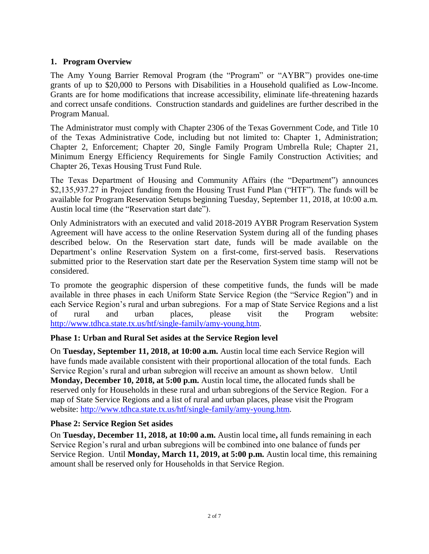# **1. Program Overview**

The Amy Young Barrier Removal Program (the "Program" or "AYBR") provides one-time grants of up to \$20,000 to Persons with Disabilities in a Household qualified as Low-Income. Grants are for home modifications that increase accessibility, eliminate life-threatening hazards and correct unsafe conditions. Construction standards and guidelines are further described in the Program Manual.

The Administrator must comply with Chapter 2306 of the Texas Government Code, and Title 10 of the Texas Administrative Code, including but not limited to: Chapter 1, Administration; Chapter 2, Enforcement; Chapter 20, Single Family Program Umbrella Rule; Chapter 21, Minimum Energy Efficiency Requirements for Single Family Construction Activities; and Chapter 26, Texas Housing Trust Fund Rule.

The Texas Department of Housing and Community Affairs (the "Department") announces \$2,135,937.27 in Project funding from the Housing Trust Fund Plan ("HTF"). The funds will be available for Program Reservation Setups beginning Tuesday, September 11, 2018, at 10:00 a.m. Austin local time (the "Reservation start date").

Only Administrators with an executed and valid 2018-2019 AYBR Program Reservation System Agreement will have access to the online Reservation System during all of the funding phases described below. On the Reservation start date, funds will be made available on the Department's online Reservation System on a first-come, first-served basis. Reservations submitted prior to the Reservation start date per the Reservation System time stamp will not be considered.

To promote the geographic dispersion of these competitive funds, the funds will be made available in three phases in each Uniform State Service Region (the "Service Region") and in each Service Region's rural and urban subregions. For a map of State Service Regions and a list of rural and urban places, please visit the Program website: [http://www.tdhca.state.tx.us/htf/single-family/amy-young.htm.](http://www.tdhca.state.tx.us/htf/single-family/amy-young.htm)

# **Phase 1: Urban and Rural Set asides at the Service Region level**

On **Tuesday, September 11, 2018, at 10:00 a.m.** Austin local time each Service Region will have funds made available consistent with their proportional allocation of the total funds. Each Service Region's rural and urban subregion will receive an amount as shown below.Until **Monday, December 10, 2018, at 5:00 p.m.** Austin local time**,** the allocated funds shall be reserved only for Households in these rural and urban subregions of the Service Region. For a map of State Service Regions and a list of rural and urban places, please visit the Program website: [http://www.tdhca.state.tx.us/htf/single-family/amy-young.htm.](http://www.tdhca.state.tx.us/htf/single-family/amy-young.htm)

# **Phase 2: Service Region Set asides**

On **Tuesday, December 11, 2018, at 10:00 a.m.** Austin local time**,** all funds remaining in each Service Region's rural and urban subregions will be combined into one balance of funds per Service Region. Until **Monday, March 11, 2019, at 5:00 p.m.** Austin local time, this remaining amount shall be reserved only for Households in that Service Region.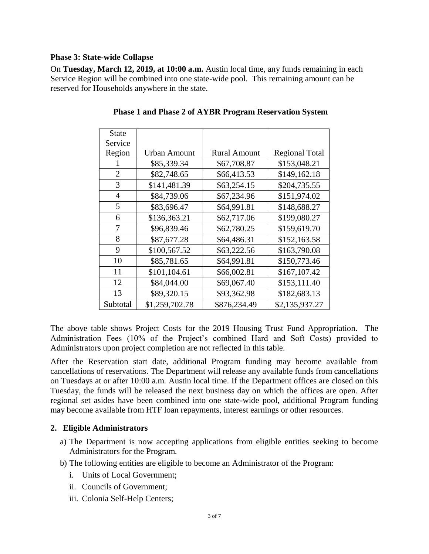### **Phase 3: State-wide Collapse**

On **Tuesday, March 12, 2019, at 10:00 a.m.** Austin local time, any funds remaining in each Service Region will be combined into one state-wide pool. This remaining amount can be reserved for Households anywhere in the state.

| <b>State</b>   |                     |                     |                       |
|----------------|---------------------|---------------------|-----------------------|
| Service        |                     |                     |                       |
| Region         | <b>Urban Amount</b> | <b>Rural Amount</b> | <b>Regional Total</b> |
|                | \$85,339.34         | \$67,708.87         | \$153,048.21          |
| $\overline{2}$ | \$82,748.65         | \$66,413.53         | \$149,162.18          |
| 3              | \$141,481.39        | \$63,254.15         | \$204,735.55          |
| $\overline{4}$ | \$84,739.06         | \$67,234.96         | \$151,974.02          |
| 5              | \$83,696.47         | \$64,991.81         | \$148,688.27          |
| 6              | \$136,363.21        | \$62,717.06         | \$199,080.27          |
| 7              | \$96,839.46         | \$62,780.25         | \$159,619.70          |
| 8              | \$87,677.28         | \$64,486.31         | \$152,163.58          |
| 9              | \$100,567.52        | \$63,222.56         | \$163,790.08          |
| 10             | \$85,781.65         | \$64,991.81         | \$150,773.46          |
| 11             | \$101,104.61        | \$66,002.81         | \$167,107.42          |
| 12             | \$84,044.00         | \$69,067.40         | \$153,111.40          |
| 13             | \$89,320.15         | \$93,362.98         | \$182,683.13          |
| Subtotal       | \$1,259,702.78      | \$876,234.49        | \$2,135,937.27        |

**Phase 1 and Phase 2 of AYBR Program Reservation System**

The above table shows Project Costs for the 2019 Housing Trust Fund Appropriation. The Administration Fees (10% of the Project's combined Hard and Soft Costs) provided to Administrators upon project completion are not reflected in this table.

After the Reservation start date, additional Program funding may become available from cancellations of reservations. The Department will release any available funds from cancellations on Tuesdays at or after 10:00 a.m. Austin local time. If the Department offices are closed on this Tuesday, the funds will be released the next business day on which the offices are open. After regional set asides have been combined into one state-wide pool, additional Program funding may become available from HTF loan repayments, interest earnings or other resources.

#### **2. Eligible Administrators**

- a) The Department is now accepting applications from eligible entities seeking to become Administrators for the Program.
- b) The following entities are eligible to become an Administrator of the Program:
	- i. Units of Local Government;
	- ii. Councils of Government;
	- iii. Colonia Self-Help Centers;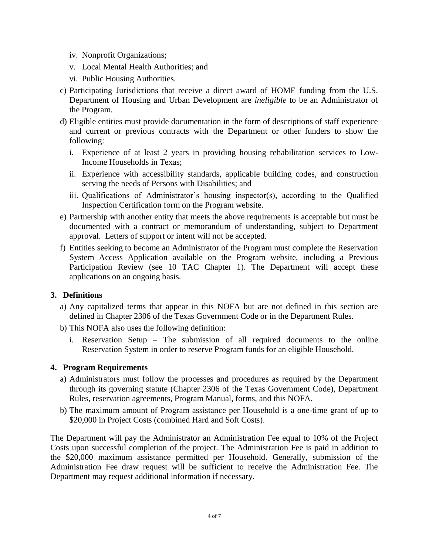- iv. Nonprofit Organizations;
- v. Local Mental Health Authorities; and
- vi. Public Housing Authorities.
- c) Participating Jurisdictions that receive a direct award of HOME funding from the U.S. Department of Housing and Urban Development are *ineligible* to be an Administrator of the Program.
- d) Eligible entities must provide documentation in the form of descriptions of staff experience and current or previous contracts with the Department or other funders to show the following:
	- i. Experience of at least 2 years in providing housing rehabilitation services to Low-Income Households in Texas;
	- ii. Experience with accessibility standards, applicable building codes, and construction serving the needs of Persons with Disabilities; and
	- iii. Qualifications of Administrator's housing inspector(s), according to the Qualified Inspection Certification form on the Program website.
- e) Partnership with another entity that meets the above requirements is acceptable but must be documented with a contract or memorandum of understanding, subject to Department approval. Letters of support or intent will not be accepted.
- f) Entities seeking to become an Administrator of the Program must complete the Reservation System Access Application available on the Program website, including a Previous Participation Review (see 10 TAC Chapter 1). The Department will accept these applications on an ongoing basis.

# **3. Definitions**

- a) Any capitalized terms that appear in this NOFA but are not defined in this section are defined in Chapter 2306 of the Texas Government Code or in the Department Rules.
- b) This NOFA also uses the following definition:
	- i. Reservation Setup The submission of all required documents to the online Reservation System in order to reserve Program funds for an eligible Household.

#### **4. Program Requirements**

- a) Administrators must follow the processes and procedures as required by the Department through its governing statute (Chapter 2306 of the Texas Government Code), Department Rules, reservation agreements, Program Manual, forms, and this NOFA.
- b) The maximum amount of Program assistance per Household is a one-time grant of up to \$20,000 in Project Costs (combined Hard and Soft Costs).

The Department will pay the Administrator an Administration Fee equal to 10% of the Project Costs upon successful completion of the project. The Administration Fee is paid in addition to the \$20,000 maximum assistance permitted per Household. Generally, submission of the Administration Fee draw request will be sufficient to receive the Administration Fee. The Department may request additional information if necessary.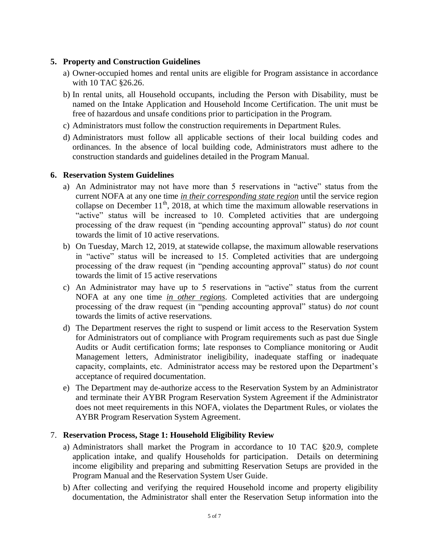### **5. Property and Construction Guidelines**

- a) Owner-occupied homes and rental units are eligible for Program assistance in accordance with 10 TAC §26.26.
- b) In rental units, all Household occupants, including the Person with Disability, must be named on the Intake Application and Household Income Certification. The unit must be free of hazardous and unsafe conditions prior to participation in the Program.
- c) Administrators must follow the construction requirements in Department Rules.
- d) Administrators must follow all applicable sections of their local building codes and ordinances. In the absence of local building code, Administrators must adhere to the construction standards and guidelines detailed in the Program Manual.

### **6. Reservation System Guidelines**

- a) An Administrator may not have more than 5 reservations in "active" status from the current NOFA at any one time *in their corresponding state region* until the service region collapse on December 11<sup>th</sup>, 2018, at which time the maximum allowable reservations in "active" status will be increased to 10. Completed activities that are undergoing processing of the draw request (in "pending accounting approval" status) do *not* count towards the limit of 10 active reservations.
- b) On Tuesday, March 12, 2019, at statewide collapse, the maximum allowable reservations in "active" status will be increased to 15. Completed activities that are undergoing processing of the draw request (in "pending accounting approval" status) do *not* count towards the limit of 15 active reservations
- c) An Administrator may have up to 5 reservations in "active" status from the current NOFA at any one time *in other regions*. Completed activities that are undergoing processing of the draw request (in "pending accounting approval" status) do *not* count towards the limits of active reservations.
- d) The Department reserves the right to suspend or limit access to the Reservation System for Administrators out of compliance with Program requirements such as past due Single Audits or Audit certification forms; late responses to Compliance monitoring or Audit Management letters, Administrator ineligibility, inadequate staffing or inadequate capacity, complaints, etc. Administrator access may be restored upon the Department's acceptance of required documentation.
- e) The Department may de-authorize access to the Reservation System by an Administrator and terminate their AYBR Program Reservation System Agreement if the Administrator does not meet requirements in this NOFA, violates the Department Rules, or violates the AYBR Program Reservation System Agreement.

# 7. **Reservation Process, Stage 1: Household Eligibility Review**

- a) Administrators shall market the Program in accordance to 10 TAC §20.9, complete application intake, and qualify Households for participation. Details on determining income eligibility and preparing and submitting Reservation Setups are provided in the Program Manual and the Reservation System User Guide.
- b) After collecting and verifying the required Household income and property eligibility documentation, the Administrator shall enter the Reservation Setup information into the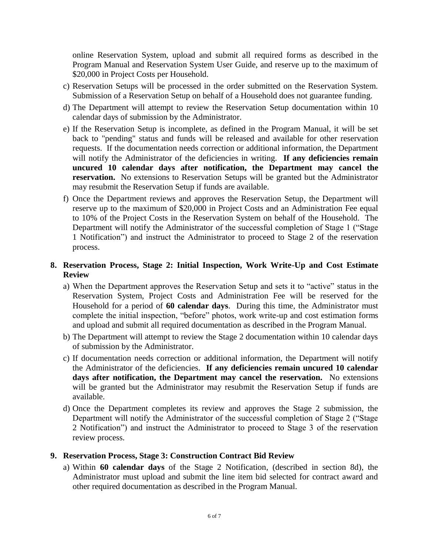online Reservation System, upload and submit all required forms as described in the Program Manual and Reservation System User Guide, and reserve up to the maximum of \$20,000 in Project Costs per Household.

- c) Reservation Setups will be processed in the order submitted on the Reservation System. Submission of a Reservation Setup on behalf of a Household does not guarantee funding.
- d) The Department will attempt to review the Reservation Setup documentation within 10 calendar days of submission by the Administrator.
- e) If the Reservation Setup is incomplete, as defined in the Program Manual, it will be set back to "pending" status and funds will be released and available for other reservation requests. If the documentation needs correction or additional information, the Department will notify the Administrator of the deficiencies in writing. **If any deficiencies remain uncured 10 calendar days after notification, the Department may cancel the reservation.** No extensions to Reservation Setups will be granted but the Administrator may resubmit the Reservation Setup if funds are available.
- f) Once the Department reviews and approves the Reservation Setup, the Department will reserve up to the maximum of \$20,000 in Project Costs and an Administration Fee equal to 10% of the Project Costs in the Reservation System on behalf of the Household. The Department will notify the Administrator of the successful completion of Stage 1 ("Stage 1 Notification") and instruct the Administrator to proceed to Stage 2 of the reservation process.

# **8. Reservation Process, Stage 2: Initial Inspection, Work Write-Up and Cost Estimate Review**

- a) When the Department approves the Reservation Setup and sets it to "active" status in the Reservation System, Project Costs and Administration Fee will be reserved for the Household for a period of **60 calendar days**. During this time, the Administrator must complete the initial inspection, "before" photos, work write-up and cost estimation forms and upload and submit all required documentation as described in the Program Manual.
- b) The Department will attempt to review the Stage 2 documentation within 10 calendar days of submission by the Administrator.
- c) If documentation needs correction or additional information, the Department will notify the Administrator of the deficiencies. **If any deficiencies remain uncured 10 calendar days after notification, the Department may cancel the reservation.** No extensions will be granted but the Administrator may resubmit the Reservation Setup if funds are available.
- d) Once the Department completes its review and approves the Stage 2 submission, the Department will notify the Administrator of the successful completion of Stage 2 ("Stage 2 Notification") and instruct the Administrator to proceed to Stage 3 of the reservation review process.

# **9. Reservation Process, Stage 3: Construction Contract Bid Review**

a) Within **60 calendar days** of the Stage 2 Notification, (described in section 8d), the Administrator must upload and submit the line item bid selected for contract award and other required documentation as described in the Program Manual.